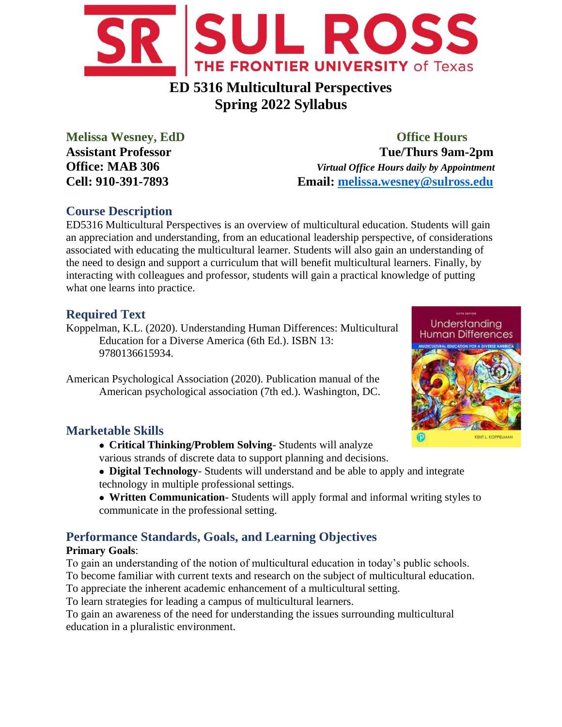

# **ED 5316 Multicultural Perspectives Spring 2022 Syllabus**

## **Melissa Wesney, EdD Office Hours Assistant Professor Tue/Thurs 9am-2pm Office: MAB 306** *Virtual Office Hours daily by Appointment* **Cell: 910-391-7893 Email: [melissa.wesney@sulross.edu](mailto:melissa.wesney@sulross.edu)**

# **Course Description**

ED5316 Multicultural Perspectives is an overview of multicultural education. Students will gain an appreciation and understanding, from an educational leadership perspective, of considerations associated with educating the multicultural learner. Students will also gain an understanding of the need to design and support a curriculum that will benefit multicultural learners. Finally, by interacting with colleagues and professor, students will gain a practical knowledge of putting what one learns into practice.

# **Required Text**

Koppelman, K.L. (2020). Understanding Human Differences: Multicultural Education for a Diverse America (6th Ed.). ISBN 13: 9780136615934.

American Psychological Association (2020). Publication manual of the American psychological association (7th ed.). Washington, DC.



# **Marketable Skills**

- **Critical Thinking/Problem Solving** Students will analyze various strands of discrete data to support planning and decisions.
- **Digital Technology** Students will understand and be able to apply and integrate technology in multiple professional settings.
- **Written Communication** Students will apply formal and informal writing styles to communicate in the professional setting.

# **Performance Standards, Goals, and Learning Objectives**

## **Primary Goals**:

To gain an understanding of the notion of multicultural education in today's public schools. To become familiar with current texts and research on the subject of multicultural education.

To appreciate the inherent academic enhancement of a multicultural setting.

To learn strategies for leading a campus of multicultural learners.

To gain an awareness of the need for understanding the issues surrounding multicultural education in a pluralistic environment.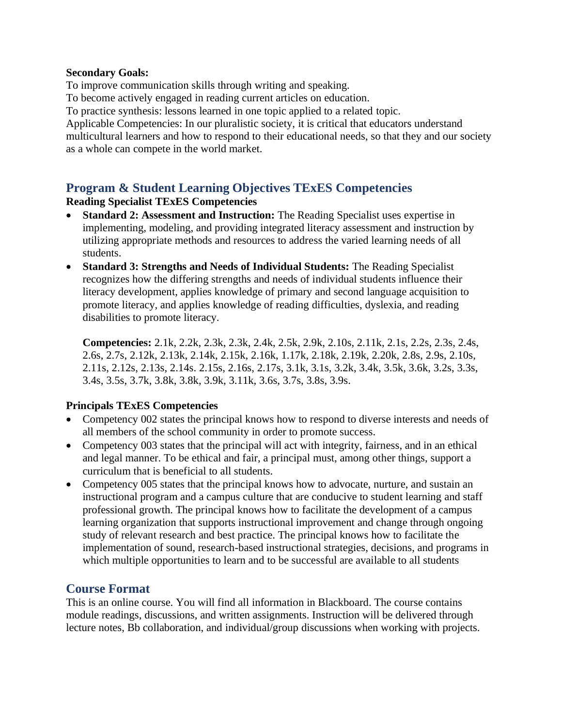#### **Secondary Goals:**

To improve communication skills through writing and speaking.

To become actively engaged in reading current articles on education.

To practice synthesis: lessons learned in one topic applied to a related topic.

Applicable Competencies: In our pluralistic society, it is critical that educators understand multicultural learners and how to respond to their educational needs, so that they and our society as a whole can compete in the world market.

## **Program & Student Learning Objectives TExES Competencies**

#### **Reading Specialist TExES Competencies**

- **Standard 2: Assessment and Instruction:** The Reading Specialist uses expertise in implementing, modeling, and providing integrated literacy assessment and instruction by utilizing appropriate methods and resources to address the varied learning needs of all students.
- **Standard 3: Strengths and Needs of Individual Students:** The Reading Specialist recognizes how the differing strengths and needs of individual students influence their literacy development, applies knowledge of primary and second language acquisition to promote literacy, and applies knowledge of reading difficulties, dyslexia, and reading disabilities to promote literacy.

**Competencies:** 2.1k, 2.2k, 2.3k, 2.3k, 2.4k, 2.5k, 2.9k, 2.10s, 2.11k, 2.1s, 2.2s, 2.3s, 2.4s, 2.6s, 2.7s, 2.12k, 2.13k, 2.14k, 2.15k, 2.16k, 1.17k, 2.18k, 2.19k, 2.20k, 2.8s, 2.9s, 2.10s, 2.11s, 2.12s, 2.13s, 2.14s. 2.15s, 2.16s, 2.17s, 3.1k, 3.1s, 3.2k, 3.4k, 3.5k, 3.6k, 3.2s, 3.3s, 3.4s, 3.5s, 3.7k, 3.8k, 3.8k, 3.9k, 3.11k, 3.6s, 3.7s, 3.8s, 3.9s.

## **Principals TExES Competencies**

- Competency 002 states the principal knows how to respond to diverse interests and needs of all members of the school community in order to promote success.
- Competency 003 states that the principal will act with integrity, fairness, and in an ethical and legal manner. To be ethical and fair, a principal must, among other things, support a curriculum that is beneficial to all students.
- Competency 005 states that the principal knows how to advocate, nurture, and sustain an instructional program and a campus culture that are conducive to student learning and staff professional growth. The principal knows how to facilitate the development of a campus learning organization that supports instructional improvement and change through ongoing study of relevant research and best practice. The principal knows how to facilitate the implementation of sound, research-based instructional strategies, decisions, and programs in which multiple opportunities to learn and to be successful are available to all students

## **Course Format**

This is an online course. You will find all information in Blackboard. The course contains module readings, discussions, and written assignments. Instruction will be delivered through lecture notes, Bb collaboration, and individual/group discussions when working with projects.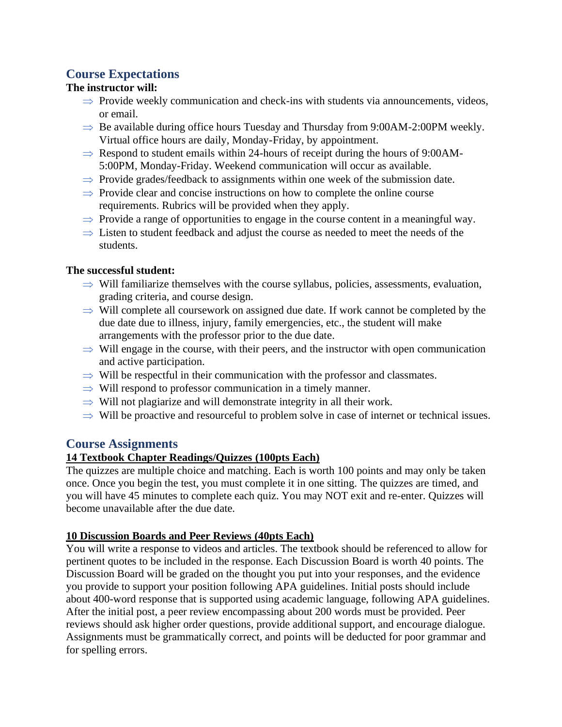## **Course Expectations**

#### **The instructor will:**

- $\Rightarrow$  Provide weekly communication and check-ins with students via announcements, videos, or email.
- $\Rightarrow$  Be available during office hours Tuesday and Thursday from 9:00AM-2:00PM weekly. Virtual office hours are daily, Monday-Friday, by appointment.
- $\Rightarrow$  Respond to student emails within 24-hours of receipt during the hours of 9:00AM-5:00PM, Monday-Friday. Weekend communication will occur as available.
- $\Rightarrow$  Provide grades/feedback to assignments within one week of the submission date.
- $\Rightarrow$  Provide clear and concise instructions on how to complete the online course requirements. Rubrics will be provided when they apply.
- $\Rightarrow$  Provide a range of opportunities to engage in the course content in a meaningful way.
- $\Rightarrow$  Listen to student feedback and adjust the course as needed to meet the needs of the students.

#### **The successful student:**

- $\Rightarrow$  Will familiarize themselves with the course syllabus, policies, assessments, evaluation, grading criteria, and course design.
- $\Rightarrow$  Will complete all coursework on assigned due date. If work cannot be completed by the due date due to illness, injury, family emergencies, etc., the student will make arrangements with the professor prior to the due date.
- $\Rightarrow$  Will engage in the course, with their peers, and the instructor with open communication and active participation.
- $\Rightarrow$  Will be respectful in their communication with the professor and classmates.
- $\Rightarrow$  Will respond to professor communication in a timely manner.
- $\Rightarrow$  Will not plagiarize and will demonstrate integrity in all their work.
- $\Rightarrow$  Will be proactive and resourceful to problem solve in case of internet or technical issues.

## **Course Assignments**

## **14 Textbook Chapter Readings/Quizzes (100pts Each)**

The quizzes are multiple choice and matching. Each is worth 100 points and may only be taken once. Once you begin the test, you must complete it in one sitting. The quizzes are timed, and you will have 45 minutes to complete each quiz. You may NOT exit and re-enter. Quizzes will become unavailable after the due date.

#### **10 Discussion Boards and Peer Reviews (40pts Each)**

You will write a response to videos and articles. The textbook should be referenced to allow for pertinent quotes to be included in the response. Each Discussion Board is worth 40 points. The Discussion Board will be graded on the thought you put into your responses, and the evidence you provide to support your position following APA guidelines. Initial posts should include about 400-word response that is supported using academic language, following APA guidelines. After the initial post, a peer review encompassing about 200 words must be provided. Peer reviews should ask higher order questions, provide additional support, and encourage dialogue. Assignments must be grammatically correct, and points will be deducted for poor grammar and for spelling errors.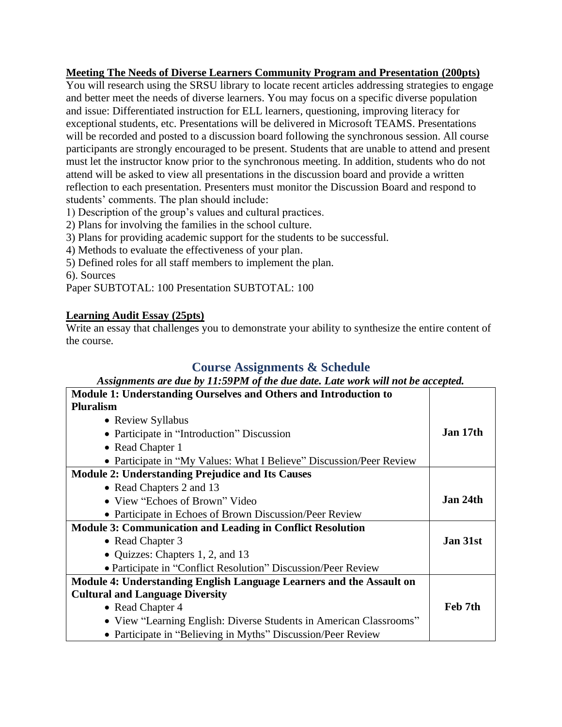#### **Meeting The Needs of Diverse Learners Community Program and Presentation (200pts)**

You will research using the SRSU library to locate recent articles addressing strategies to engage and better meet the needs of diverse learners. You may focus on a specific diverse population and issue: Differentiated instruction for ELL learners, questioning, improving literacy for exceptional students, etc. Presentations will be delivered in Microsoft TEAMS. Presentations will be recorded and posted to a discussion board following the synchronous session. All course participants are strongly encouraged to be present. Students that are unable to attend and present must let the instructor know prior to the synchronous meeting. In addition, students who do not attend will be asked to view all presentations in the discussion board and provide a written reflection to each presentation. Presenters must monitor the Discussion Board and respond to students' comments. The plan should include:

1) Description of the group's values and cultural practices.

2) Plans for involving the families in the school culture.

3) Plans for providing academic support for the students to be successful.

4) Methods to evaluate the effectiveness of your plan.

5) Defined roles for all staff members to implement the plan.

6). Sources

Paper SUBTOTAL: 100 Presentation SUBTOTAL: 100

#### **Learning Audit Essay (25pts)**

Write an essay that challenges you to demonstrate your ability to synthesize the entire content of the course.

## **Course Assignments & Schedule**

#### *Assignments are due by 11:59PM of the due date. Late work will not be accepted.*

| Module 1: Understanding Ourselves and Others and Introduction to     |          |
|----------------------------------------------------------------------|----------|
| <b>Pluralism</b>                                                     |          |
| • Review Syllabus                                                    |          |
| • Participate in "Introduction" Discussion                           | Jan 17th |
| • Read Chapter 1                                                     |          |
| • Participate in "My Values: What I Believe" Discussion/Peer Review  |          |
| <b>Module 2: Understanding Prejudice and Its Causes</b>              |          |
| • Read Chapters 2 and 13                                             |          |
| • View "Echoes of Brown" Video                                       | Jan 24th |
| • Participate in Echoes of Brown Discussion/Peer Review              |          |
| <b>Module 3: Communication and Leading in Conflict Resolution</b>    |          |
| • Read Chapter 3                                                     | Jan 31st |
| • Quizzes: Chapters 1, 2, and 13                                     |          |
| • Participate in "Conflict Resolution" Discussion/Peer Review        |          |
| Module 4: Understanding English Language Learners and the Assault on |          |
| <b>Cultural and Language Diversity</b>                               |          |
| • Read Chapter 4                                                     | Feb 7th  |
| • View "Learning English: Diverse Students in American Classrooms"   |          |
| • Participate in "Believing in Myths" Discussion/Peer Review         |          |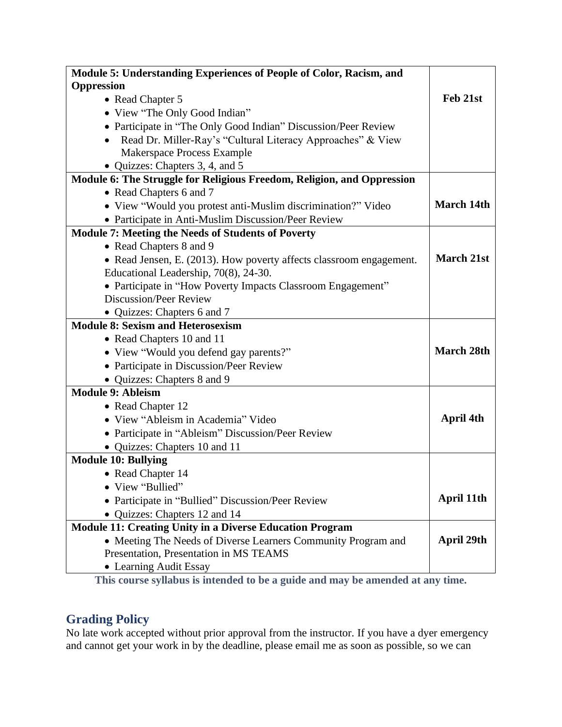| Module 5: Understanding Experiences of People of Color, Racism, and    |                   |
|------------------------------------------------------------------------|-------------------|
| Oppression                                                             |                   |
| • Read Chapter 5                                                       | Feb 21st          |
| • View "The Only Good Indian"                                          |                   |
| • Participate in "The Only Good Indian" Discussion/Peer Review         |                   |
| Read Dr. Miller-Ray's "Cultural Literacy Approaches" & View            |                   |
| Makerspace Process Example                                             |                   |
| • Quizzes: Chapters 3, 4, and 5                                        |                   |
| Module 6: The Struggle for Religious Freedom, Religion, and Oppression |                   |
| • Read Chapters 6 and 7                                                |                   |
| • View "Would you protest anti-Muslim discrimination?" Video           | <b>March 14th</b> |
| • Participate in Anti-Muslim Discussion/Peer Review                    |                   |
| <b>Module 7: Meeting the Needs of Students of Poverty</b>              |                   |
| • Read Chapters 8 and 9                                                |                   |
| • Read Jensen, E. (2013). How poverty affects classroom engagement.    | <b>March 21st</b> |
| Educational Leadership, 70(8), 24-30.                                  |                   |
| • Participate in "How Poverty Impacts Classroom Engagement"            |                   |
| <b>Discussion/Peer Review</b>                                          |                   |
| • Quizzes: Chapters 6 and 7                                            |                   |
| <b>Module 8: Sexism and Heterosexism</b>                               |                   |
| • Read Chapters 10 and 11                                              |                   |
| • View "Would you defend gay parents?"                                 | <b>March 28th</b> |
| • Participate in Discussion/Peer Review                                |                   |
| • Quizzes: Chapters 8 and 9                                            |                   |
| <b>Module 9: Ableism</b>                                               |                   |
| • Read Chapter 12                                                      |                   |
| • View "Ableism in Academia" Video                                     | April 4th         |
| • Participate in "Ableism" Discussion/Peer Review                      |                   |
| • Quizzes: Chapters 10 and 11                                          |                   |
| <b>Module 10: Bullying</b>                                             |                   |
| • Read Chapter 14                                                      |                   |
| • View "Bullied"                                                       |                   |
| • Participate in "Bullied" Discussion/Peer Review                      | April 11th        |
| • Quizzes: Chapters 12 and 14                                          |                   |
| <b>Module 11: Creating Unity in a Diverse Education Program</b>        |                   |
| • Meeting The Needs of Diverse Learners Community Program and          | April 29th        |
| Presentation, Presentation in MS TEAMS                                 |                   |
| • Learning Audit Essay                                                 |                   |

**This course syllabus is intended to be a guide and may be amended at any time.**

## **Grading Policy**

No late work accepted without prior approval from the instructor. If you have a dyer emergency and cannot get your work in by the deadline, please email me as soon as possible, so we can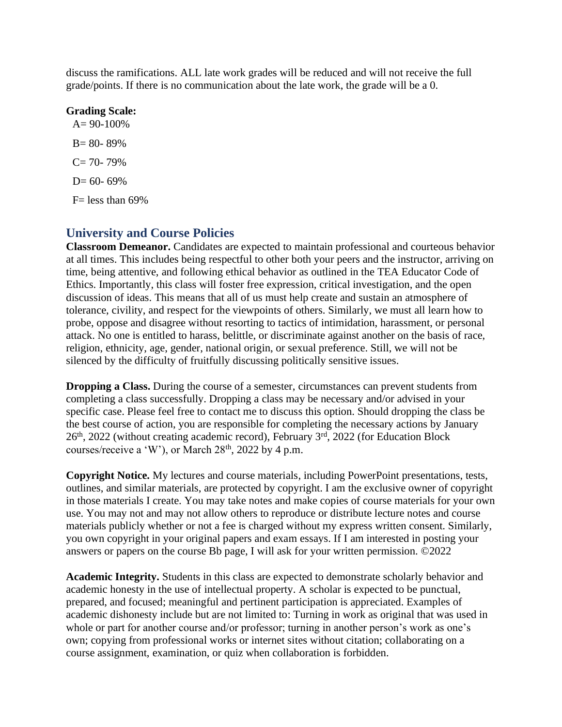discuss the ramifications. ALL late work grades will be reduced and will not receive the full grade/points. If there is no communication about the late work, the grade will be a 0.

#### **Grading Scale:**

 $A= 90-100%$ B= 80- 89%  $C= 70- 79%$  $D= 60- 69%$  $F=$  less than 69%

## **University and Course Policies**

**Classroom Demeanor.** Candidates are expected to maintain professional and courteous behavior at all times. This includes being respectful to other both your peers and the instructor, arriving on time, being attentive, and following ethical behavior as outlined in the TEA Educator Code of Ethics. Importantly, this class will foster free expression, critical investigation, and the open discussion of ideas. This means that all of us must help create and sustain an atmosphere of tolerance, civility, and respect for the viewpoints of others. Similarly, we must all learn how to probe, oppose and disagree without resorting to tactics of intimidation, harassment, or personal attack. No one is entitled to harass, belittle, or discriminate against another on the basis of race, religion, ethnicity, age, gender, national origin, or sexual preference. Still, we will not be silenced by the difficulty of fruitfully discussing politically sensitive issues.

**Dropping a Class.** During the course of a semester, circumstances can prevent students from completing a class successfully. Dropping a class may be necessary and/or advised in your specific case. Please feel free to contact me to discuss this option. Should dropping the class be the best course of action, you are responsible for completing the necessary actions by January 26th, 2022 (without creating academic record), February 3rd, 2022 (for Education Block courses/receive a 'W'), or March  $28<sup>th</sup>$ ,  $2022$  by 4 p.m.

**Copyright Notice.** My lectures and course materials, including PowerPoint presentations, tests, outlines, and similar materials, are protected by copyright. I am the exclusive owner of copyright in those materials I create. You may take notes and make copies of course materials for your own use. You may not and may not allow others to reproduce or distribute lecture notes and course materials publicly whether or not a fee is charged without my express written consent. Similarly, you own copyright in your original papers and exam essays. If I am interested in posting your answers or papers on the course Bb page, I will ask for your written permission. ©2022

**Academic Integrity.** Students in this class are expected to demonstrate scholarly behavior and academic honesty in the use of intellectual property. A scholar is expected to be punctual, prepared, and focused; meaningful and pertinent participation is appreciated. Examples of academic dishonesty include but are not limited to: Turning in work as original that was used in whole or part for another course and/or professor; turning in another person's work as one's own; copying from professional works or internet sites without citation; collaborating on a course assignment, examination, or quiz when collaboration is forbidden.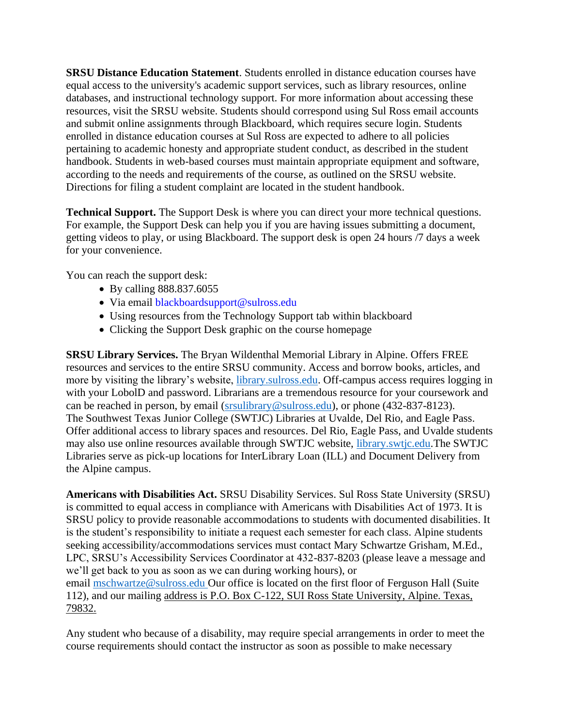**SRSU Distance Education Statement**. Students enrolled in distance education courses have equal access to the university's academic support services, such as library resources, online databases, and instructional technology support. For more information about accessing these resources, visit the SRSU website. Students should correspond using Sul Ross email accounts and submit online assignments through Blackboard, which requires secure login. Students enrolled in distance education courses at Sul Ross are expected to adhere to all policies pertaining to academic honesty and appropriate student conduct, as described in the student handbook. Students in web-based courses must maintain appropriate equipment and software, according to the needs and requirements of the course, as outlined on the SRSU website. Directions for filing a student complaint are located in the student handbook.

**Technical Support.** The Support Desk is where you can direct your more technical questions. For example, the Support Desk can help you if you are having issues submitting a document, getting videos to play, or using Blackboard. The support desk is open 24 hours /7 days a week for your convenience.

You can reach the support desk:

- By calling 888.837.6055
- Via email blackboardsupport@sulross.edu
- Using resources from the Technology Support tab within blackboard
- Clicking the Support Desk graphic on the course homepage

**SRSU Library Services.** The Bryan Wildenthal Memorial Library in Alpine. Offers FREE resources and services to the entire SRSU community. Access and borrow books, articles, and more by visiting the library's website, [library.sulross.edu.](https://library.sulross.edu/) Off-campus access requires logging in with your LobolD and password. Librarians are a tremendous resource for your coursework and can be reached in person, by email [\(srsulibrary@sulross.edu\)](mailto:srsulibrary@sulross.edu), or phone (432-837-8123). The Southwest Texas Junior College (SWTJC) Libraries at Uvalde, Del Rio, and Eagle Pass. Offer additional access to library spaces and resources. Del Rio, Eagle Pass, and Uvalde students may also use online resources available through SWTJC website, [library.swtjc.edu.](https://library.swtjc.edu/)The SWTJC Libraries serve as pick-up locations for InterLibrary Loan (ILL) and Document Delivery from the Alpine campus.

**Americans with Disabilities Act.** SRSU Disability Services. Sul Ross State University (SRSU) is committed to equal access in compliance with Americans with Disabilities Act of 1973. It is SRSU policy to provide reasonable accommodations to students with documented disabilities. It is the student's responsibility to initiate a request each semester for each class. Alpine students seeking accessibility/accommodations services must contact Mary Schwartze Grisham, M.Ed., LPC, SRSU's Accessibility Services Coordinator at 432-837-8203 (please leave a message and we'll get back to you as soon as we can during working hours), or email [mschwartze@sulross.edu](mailto:mschwartze@sulross.edu) Our office is located on the first floor of Ferguson Hall (Suite 112), and our mailing address is P.O. Box C-122, SUI Ross State University, Alpine. Texas, 79832.

Any student who because of a disability, may require special arrangements in order to meet the course requirements should contact the instructor as soon as possible to make necessary